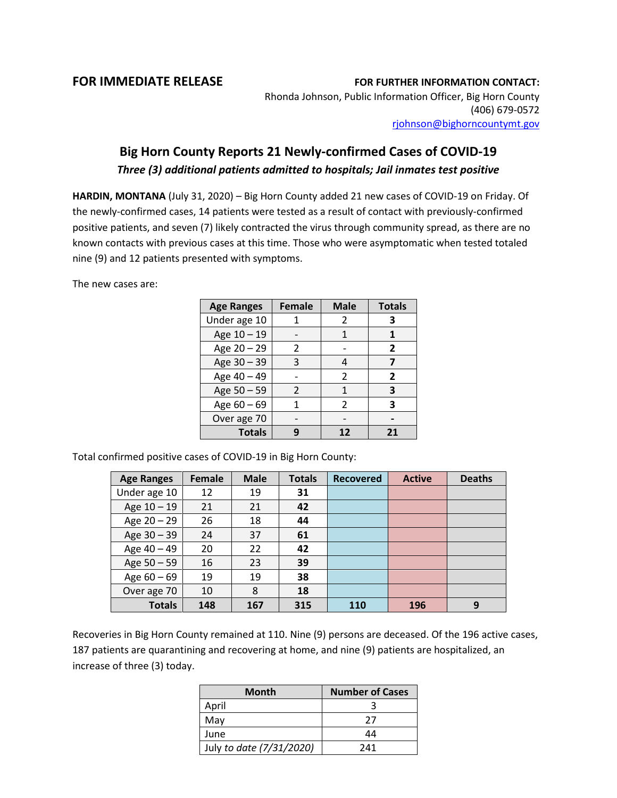## **FOR IMMEDIATE RELEASE FOR FURTHER INFORMATION CONTACT:**

Rhonda Johnson, Public Information Officer, Big Horn County (406) 679-0572 [rjohnson@bighorncountymt.gov](mailto:rjohnson@bighorncountymt.gov)

## **Big Horn County Reports 21 Newly-confirmed Cases of COVID-19**  *Three (3) additional patients admitted to hospitals; Jail inmates test positive*

**HARDIN, MONTANA** (July 31, 2020) – Big Horn County added 21 new cases of COVID-19 on Friday. Of the newly-confirmed cases, 14 patients were tested as a result of contact with previously-confirmed positive patients, and seven (7) likely contracted the virus through community spread, as there are no known contacts with previous cases at this time. Those who were asymptomatic when tested totaled nine (9) and 12 patients presented with symptoms.

The new cases are:

| <b>Age Ranges</b> | <b>Female</b> | <b>Male</b>   | <b>Totals</b>  |
|-------------------|---------------|---------------|----------------|
| Under age 10      |               | 2             | 3              |
| Age 10 - 19       |               | 1             |                |
| Age 20 - 29       | 2             |               | $\overline{2}$ |
| Age 30 - 39       | 3             |               |                |
| Age 40 - 49       |               | 2             | 2              |
| Age 50 - 59       | $\mathcal{L}$ | 1             | 3              |
| Age $60 - 69$     |               | $\mathcal{P}$ | 3              |
| Over age 70       |               |               |                |
| <b>Totals</b>     |               | 12            | 21             |

Total confirmed positive cases of COVID-19 in Big Horn County:

| <b>Age Ranges</b> | <b>Female</b> | <b>Male</b> | <b>Totals</b> | <b>Recovered</b> | <b>Active</b> | <b>Deaths</b> |
|-------------------|---------------|-------------|---------------|------------------|---------------|---------------|
| Under age 10      | 12            | 19          | 31            |                  |               |               |
| Age 10 - 19       | 21            | 21          | 42            |                  |               |               |
| Age 20 - 29       | 26            | 18          | 44            |                  |               |               |
| Age 30 - 39       | 24            | 37          | 61            |                  |               |               |
| Age 40 - 49       | 20            | 22          | 42            |                  |               |               |
| Age 50 - 59       | 16            | 23          | 39            |                  |               |               |
| Age $60 - 69$     | 19            | 19          | 38            |                  |               |               |
| Over age 70       | 10            | 8           | 18            |                  |               |               |
| <b>Totals</b>     | 148           | 167         | 315           | 110              | 196           | 9             |

Recoveries in Big Horn County remained at 110. Nine (9) persons are deceased. Of the 196 active cases, 187 patients are quarantining and recovering at home, and nine (9) patients are hospitalized, an increase of three (3) today.

| <b>Month</b>             | <b>Number of Cases</b> |  |  |
|--------------------------|------------------------|--|--|
| April                    |                        |  |  |
| May                      | 27                     |  |  |
| June                     | 44                     |  |  |
| July to date (7/31/2020) | 241                    |  |  |